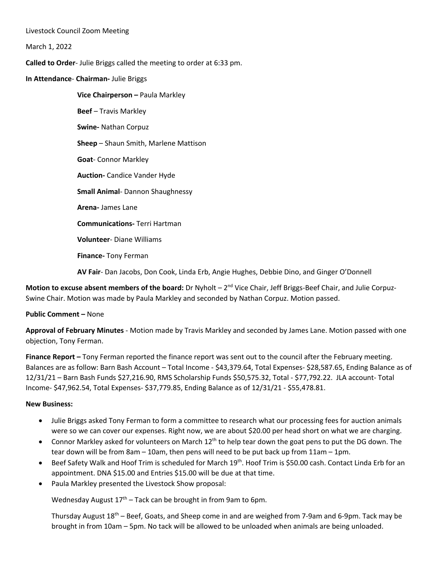Livestock Council Zoom Meeting

March 1, 2022

**Called to Order**- Julie Briggs called the meeting to order at 6:33 pm.

**In Attendance**- **Chairman-** Julie Briggs

**Vice Chairperson –** Paula Markley **Beef** – Travis Markley **Swine-** Nathan Corpuz **Sheep** – Shaun Smith, Marlene Mattison **Goat**- Connor Markley **Auction-** Candice Vander Hyde **Small Animal**- Dannon Shaughnessy **Arena-** James Lane **Communications-** Terri Hartman **Volunteer**- Diane Williams **Finance-** Tony Ferman

**AV Fair**- Dan Jacobs, Don Cook, Linda Erb, Angie Hughes, Debbie Dino, and Ginger O'Donnell

**Motion to excuse absent members of the board:** Dr Nyholt – 2<sup>nd</sup> Vice Chair, Jeff Briggs-Beef Chair, and Julie Corpuz-Swine Chair. Motion was made by Paula Markley and seconded by Nathan Corpuz. Motion passed.

## **Public Comment –** None

**Approval of February Minutes** - Motion made by Travis Markley and seconded by James Lane. Motion passed with one objection, Tony Ferman.

**Finance Report –** Tony Ferman reported the finance report was sent out to the council after the February meeting. Balances are as follow: Barn Bash Account – Total Income - \$43,379.64, Total Expenses- \$28,587.65, Ending Balance as of 12/31/21 – Barn Bash Funds \$27,216.90, RMS Scholarship Funds \$50,575.32, Total - \$77,792.22. JLA account- Total Income- \$47,962.54, Total Expenses- \$37,779.85, Ending Balance as of 12/31/21 - \$55,478.81.

## **New Business:**

- Julie Briggs asked Tony Ferman to form a committee to research what our processing fees for auction animals were so we can cover our expenses. Right now, we are about \$20.00 per head short on what we are charging.
- Connor Markley asked for volunteers on March 12<sup>th</sup> to help tear down the goat pens to put the DG down. The tear down will be from 8am – 10am, then pens will need to be put back up from 11am – 1pm.
- Beef Safety Walk and Hoof Trim is scheduled for March 19<sup>th</sup>. Hoof Trim is \$50.00 cash. Contact Linda Erb for an appointment. DNA \$15.00 and Entries \$15.00 will be due at that time.
- Paula Markley presented the Livestock Show proposal:

Wednesday August  $17<sup>th</sup>$  – Tack can be brought in from 9am to 6pm.

Thursday August  $18<sup>th</sup>$  – Beef, Goats, and Sheep come in and are weighed from 7-9am and 6-9pm. Tack may be brought in from 10am – 5pm. No tack will be allowed to be unloaded when animals are being unloaded.